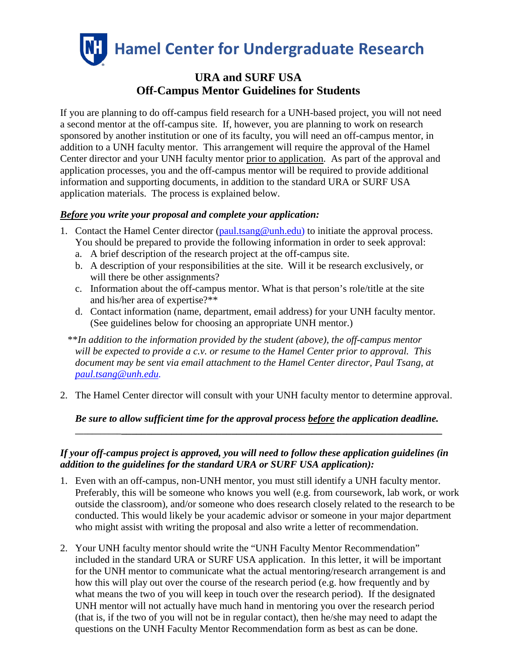

# **URA and SURF USA Off-Campus Mentor Guidelines for Students**

If you are planning to do off-campus field research for a UNH-based project, you will not need a second mentor at the off-campus site. If, however, you are planning to work on research sponsored by another institution or one of its faculty, you will need an off-campus mentor, in addition to a UNH faculty mentor. This arrangement will require the approval of the Hamel Center director and your UNH faculty mentor prior to application. As part of the approval and application processes, you and the off-campus mentor will be required to provide additional information and supporting documents, in addition to the standard URA or SURF USA application materials. The process is explained below.

## *Before you write your proposal and complete your application:*

- 1. Contact the Hamel Center director [\(paul.tsang@unh.edu\)](mailto:paul.tsang@unh.edu) to initiate the approval process. You should be prepared to provide the following information in order to seek approval:
	- a. A brief description of the research project at the off-campus site.
	- b. A description of your responsibilities at the site. Will it be research exclusively, or will there be other assignments?
	- c. Information about the off-campus mentor. What is that person's role/title at the site and his/her area of expertise?\*\*
	- d. Contact information (name, department, email address) for your UNH faculty mentor. (See guidelines below for choosing an appropriate UNH mentor.)

\*\**In addition to the information provided by the student (above), the off-campus mentor will be expected to provide a c.v. or resume to the Hamel Center prior to approval. This document may be sent via email attachment to the Hamel Center director, Paul Tsang, at [paul.tsang@unh.edu.](mailto:paul.tsang@unh.edu)*

2. The Hamel Center director will consult with your UNH faculty mentor to determine approval.

#### *Be sure to allow sufficient time for the approval process before the application deadline.* **\_\_\_\_\_\_\_\_\_\_\_\_\_\_\_\_\_\_\_\_\_\_\_\_\_\_\_\_\_\_\_\_\_\_\_\_\_\_\_\_\_\_\_\_\_\_\_\_\_\_\_\_\_\_\_\_\_\_\_\_\_\_\_\_\_\_\_\_\_\_\_\_\_\_\_**

## *If your off-campus project is approved, you will need to follow these application guidelines (in addition to the guidelines for the standard URA or SURF USA application):*

- 1. Even with an off-campus, non-UNH mentor, you must still identify a UNH faculty mentor. Preferably, this will be someone who knows you well (e.g. from coursework, lab work, or work outside the classroom), and/or someone who does research closely related to the research to be conducted. This would likely be your academic advisor or someone in your major department who might assist with writing the proposal and also write a letter of recommendation.
- 2. Your UNH faculty mentor should write the "UNH Faculty Mentor Recommendation" included in the standard URA or SURF USA application. In this letter, it will be important for the UNH mentor to communicate what the actual mentoring/research arrangement is and how this will play out over the course of the research period (e.g. how frequently and by what means the two of you will keep in touch over the research period). If the designated UNH mentor will not actually have much hand in mentoring you over the research period (that is, if the two of you will not be in regular contact), then he/she may need to adapt the questions on the UNH Faculty Mentor Recommendation form as best as can be done.